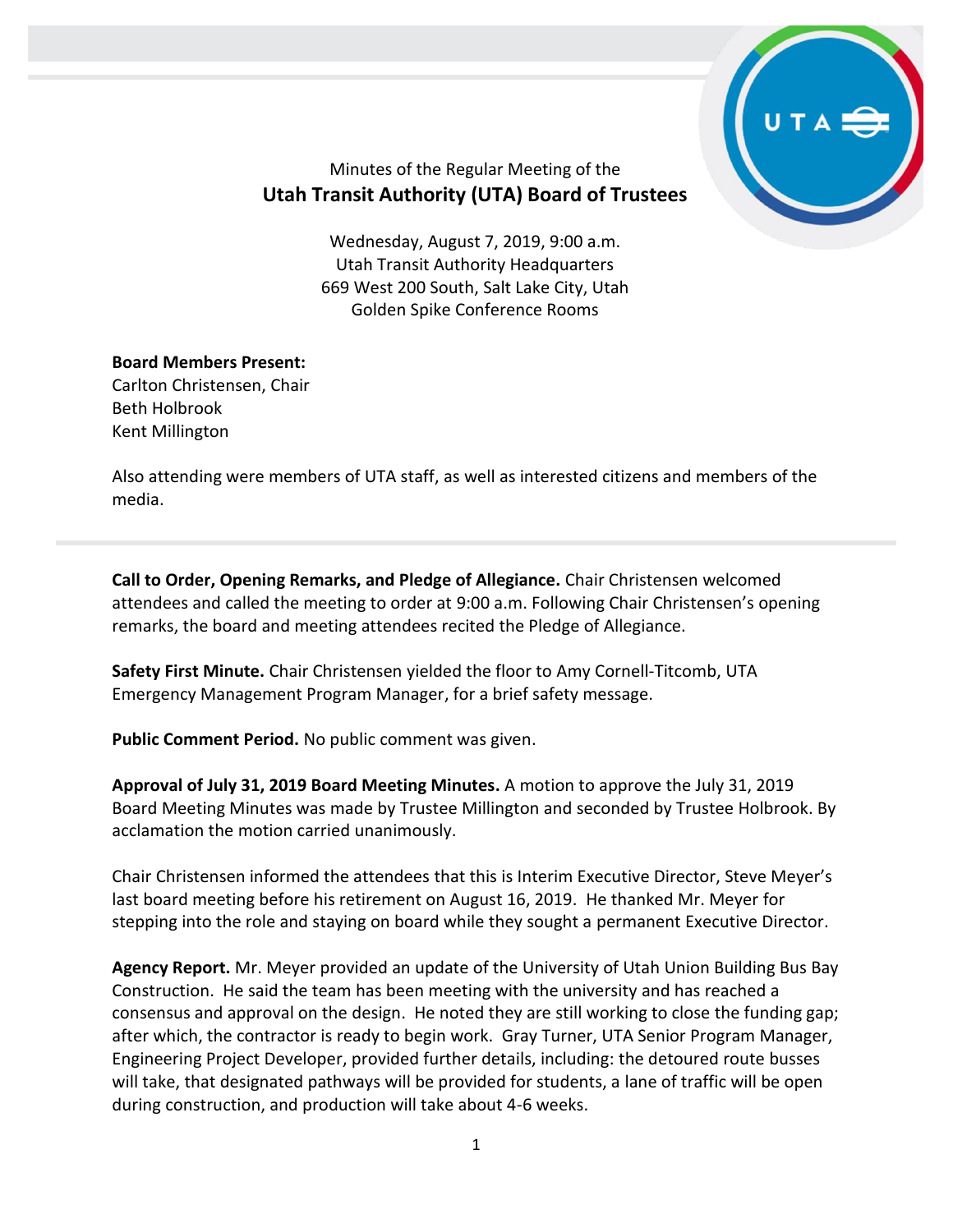

# Minutes of the Regular Meeting of the **Utah Transit Authority (UTA) Board of Trustees**

Wednesday, August 7, 2019, 9:00 a.m. Utah Transit Authority Headquarters 669 West 200 South, Salt Lake City, Utah Golden Spike Conference Rooms

# **Board Members Present:**

Carlton Christensen, Chair Beth Holbrook Kent Millington

Also attending were members of UTA staff, as well as interested citizens and members of the media.

**Call to Order, Opening Remarks, and Pledge of Allegiance.** Chair Christensen welcomed attendees and called the meeting to order at 9:00 a.m. Following Chair Christensen's opening remarks, the board and meeting attendees recited the Pledge of Allegiance.

**Safety First Minute.** Chair Christensen yielded the floor to Amy Cornell-Titcomb, UTA Emergency Management Program Manager, for a brief safety message.

**Public Comment Period.** No public comment was given.

**Approval of July 31, 2019 Board Meeting Minutes.** A motion to approve the July 31, 2019 Board Meeting Minutes was made by Trustee Millington and seconded by Trustee Holbrook. By acclamation the motion carried unanimously.

Chair Christensen informed the attendees that this is Interim Executive Director, Steve Meyer's last board meeting before his retirement on August 16, 2019. He thanked Mr. Meyer for stepping into the role and staying on board while they sought a permanent Executive Director.

**Agency Report.** Mr. Meyer provided an update of the University of Utah Union Building Bus Bay Construction. He said the team has been meeting with the university and has reached a consensus and approval on the design. He noted they are still working to close the funding gap; after which, the contractor is ready to begin work. Gray Turner, UTA Senior Program Manager, Engineering Project Developer, provided further details, including: the detoured route busses will take, that designated pathways will be provided for students, a lane of traffic will be open during construction, and production will take about 4-6 weeks.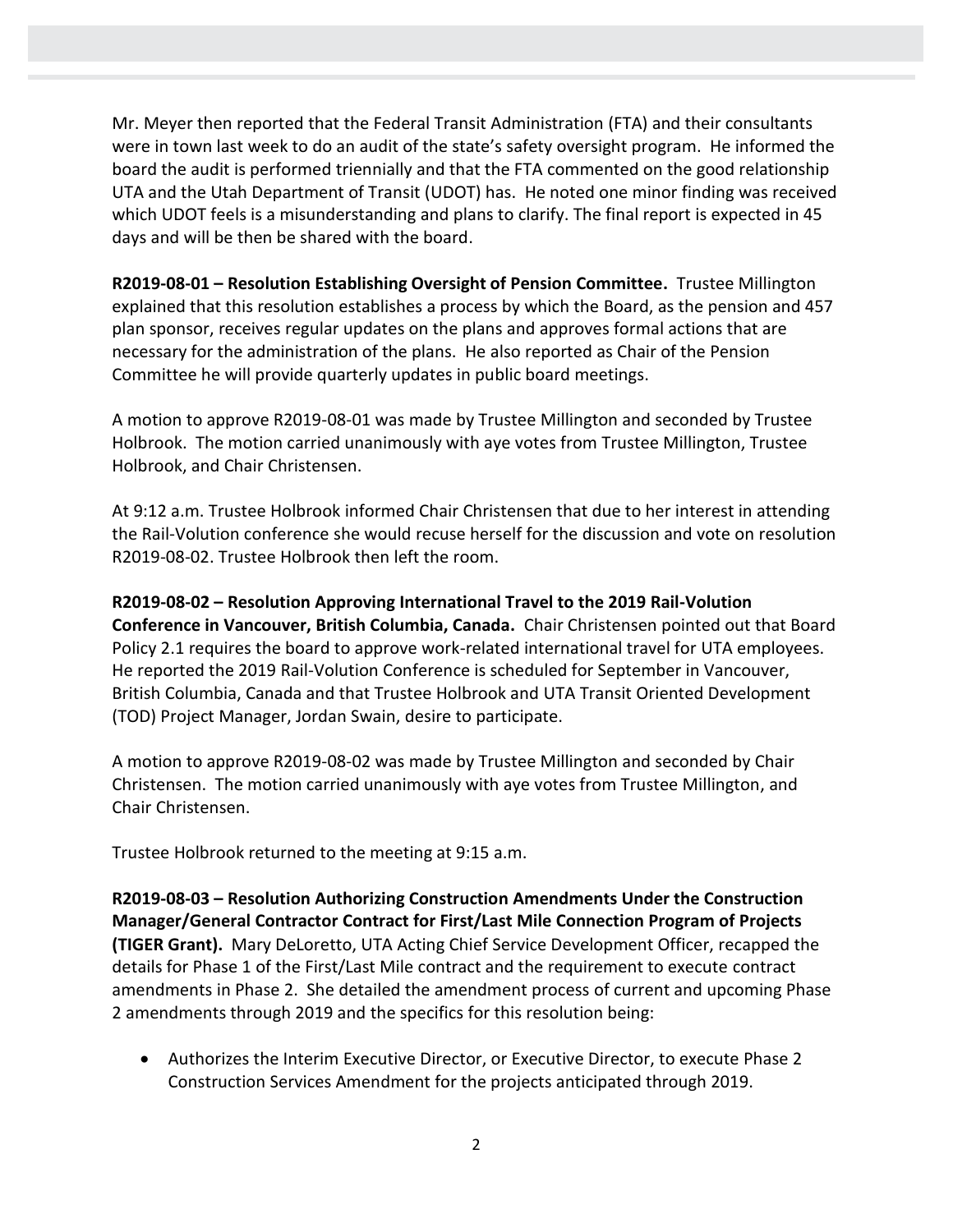Mr. Meyer then reported that the Federal Transit Administration (FTA) and their consultants were in town last week to do an audit of the state's safety oversight program. He informed the board the audit is performed triennially and that the FTA commented on the good relationship UTA and the Utah Department of Transit (UDOT) has. He noted one minor finding was received which UDOT feels is a misunderstanding and plans to clarify. The final report is expected in 45 days and will be then be shared with the board.

**R2019-08-01 – Resolution Establishing Oversight of Pension Committee.** Trustee Millington explained that this resolution establishes a process by which the Board, as the pension and 457 plan sponsor, receives regular updates on the plans and approves formal actions that are necessary for the administration of the plans. He also reported as Chair of the Pension Committee he will provide quarterly updates in public board meetings.

A motion to approve R2019-08-01 was made by Trustee Millington and seconded by Trustee Holbrook. The motion carried unanimously with aye votes from Trustee Millington, Trustee Holbrook, and Chair Christensen.

At 9:12 a.m. Trustee Holbrook informed Chair Christensen that due to her interest in attending the Rail-Volution conference she would recuse herself for the discussion and vote on resolution R2019-08-02. Trustee Holbrook then left the room.

**R2019-08-02 – Resolution Approving International Travel to the 2019 Rail-Volution Conference in Vancouver, British Columbia, Canada.** Chair Christensen pointed out that Board Policy 2.1 requires the board to approve work-related international travel for UTA employees. He reported the 2019 Rail-Volution Conference is scheduled for September in Vancouver, British Columbia, Canada and that Trustee Holbrook and UTA Transit Oriented Development (TOD) Project Manager, Jordan Swain, desire to participate.

A motion to approve R2019-08-02 was made by Trustee Millington and seconded by Chair Christensen. The motion carried unanimously with aye votes from Trustee Millington, and Chair Christensen.

Trustee Holbrook returned to the meeting at 9:15 a.m.

**R2019-08-03 – Resolution Authorizing Construction Amendments Under the Construction Manager/General Contractor Contract for First/Last Mile Connection Program of Projects (TIGER Grant).** Mary DeLoretto, UTA Acting Chief Service Development Officer, recapped the details for Phase 1 of the First/Last Mile contract and the requirement to execute contract amendments in Phase 2. She detailed the amendment process of current and upcoming Phase 2 amendments through 2019 and the specifics for this resolution being:

 Authorizes the Interim Executive Director, or Executive Director, to execute Phase 2 Construction Services Amendment for the projects anticipated through 2019.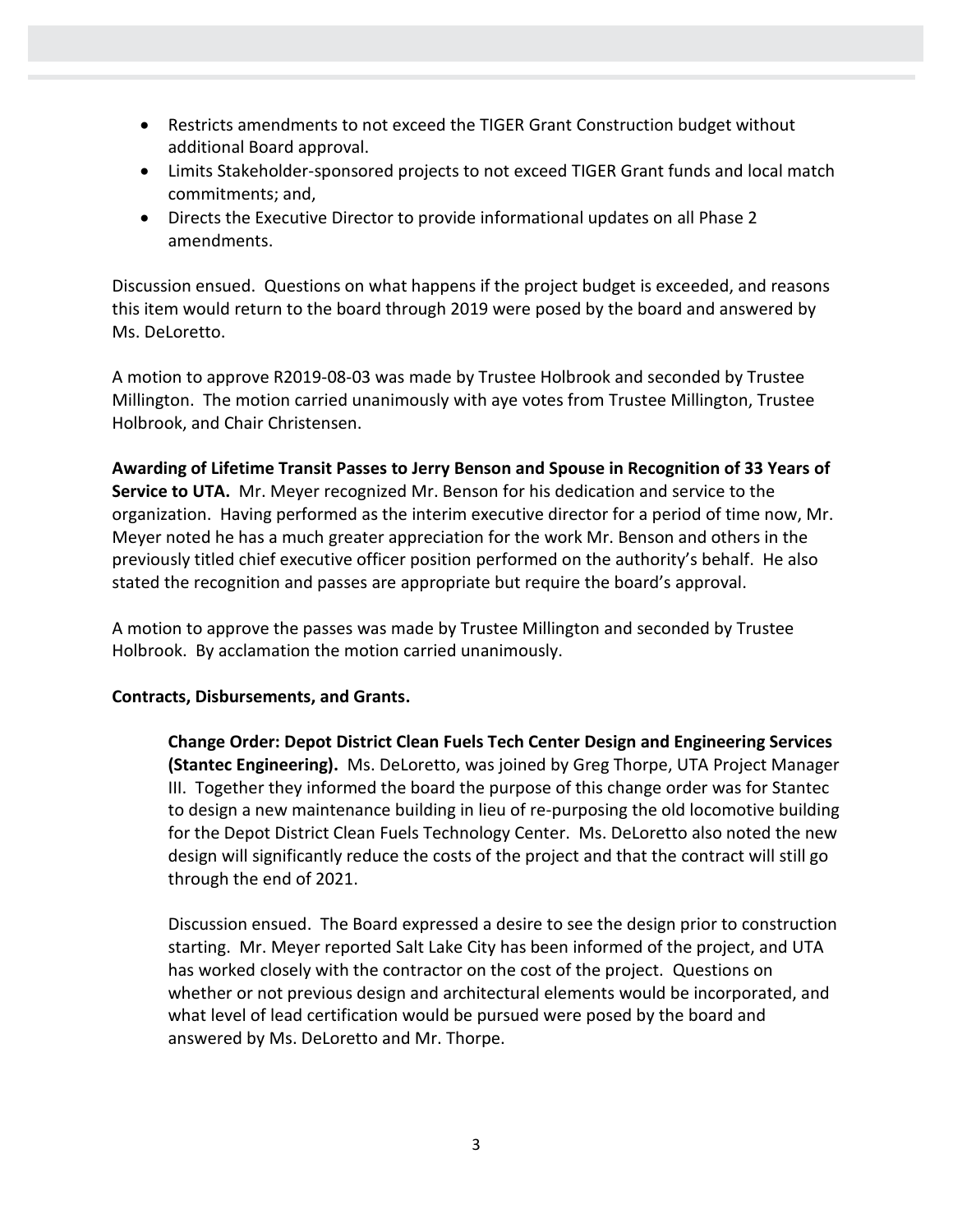- Restricts amendments to not exceed the TIGER Grant Construction budget without additional Board approval.
- Limits Stakeholder-sponsored projects to not exceed TIGER Grant funds and local match commitments; and,
- Directs the Executive Director to provide informational updates on all Phase 2 amendments.

Discussion ensued. Questions on what happens if the project budget is exceeded, and reasons this item would return to the board through 2019 were posed by the board and answered by Ms. DeLoretto.

A motion to approve R2019-08-03 was made by Trustee Holbrook and seconded by Trustee Millington. The motion carried unanimously with aye votes from Trustee Millington, Trustee Holbrook, and Chair Christensen.

**Awarding of Lifetime Transit Passes to Jerry Benson and Spouse in Recognition of 33 Years of Service to UTA.** Mr. Meyer recognized Mr. Benson for his dedication and service to the organization. Having performed as the interim executive director for a period of time now, Mr. Meyer noted he has a much greater appreciation for the work Mr. Benson and others in the previously titled chief executive officer position performed on the authority's behalf. He also stated the recognition and passes are appropriate but require the board's approval.

A motion to approve the passes was made by Trustee Millington and seconded by Trustee Holbrook. By acclamation the motion carried unanimously.

### **Contracts, Disbursements, and Grants.**

**Change Order: Depot District Clean Fuels Tech Center Design and Engineering Services (Stantec Engineering).** Ms. DeLoretto, was joined by Greg Thorpe, UTA Project Manager III. Together they informed the board the purpose of this change order was for Stantec to design a new maintenance building in lieu of re-purposing the old locomotive building for the Depot District Clean Fuels Technology Center. Ms. DeLoretto also noted the new design will significantly reduce the costs of the project and that the contract will still go through the end of 2021.

Discussion ensued. The Board expressed a desire to see the design prior to construction starting. Mr. Meyer reported Salt Lake City has been informed of the project, and UTA has worked closely with the contractor on the cost of the project. Questions on whether or not previous design and architectural elements would be incorporated, and what level of lead certification would be pursued were posed by the board and answered by Ms. DeLoretto and Mr. Thorpe.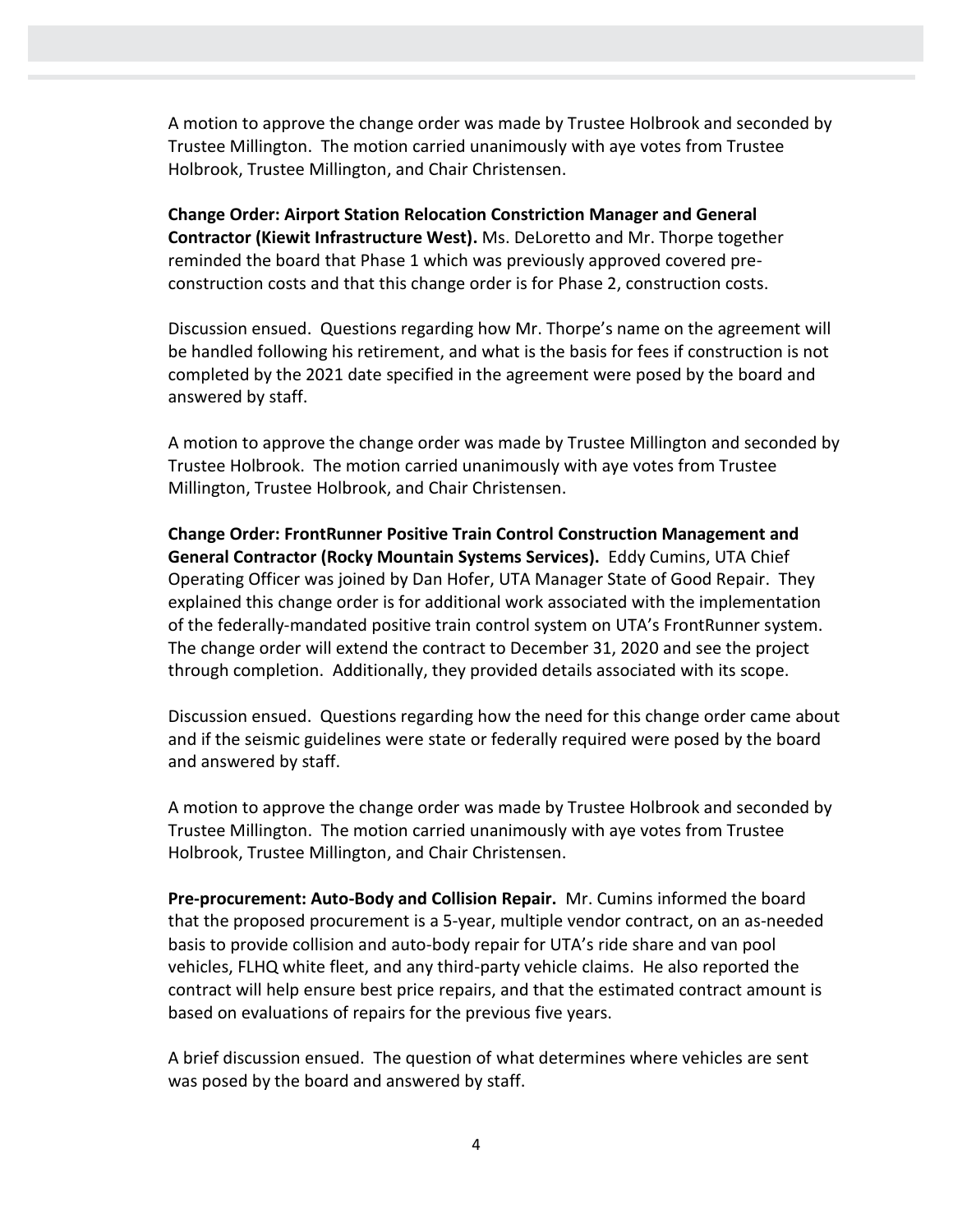A motion to approve the change order was made by Trustee Holbrook and seconded by Trustee Millington. The motion carried unanimously with aye votes from Trustee Holbrook, Trustee Millington, and Chair Christensen.

**Change Order: Airport Station Relocation Constriction Manager and General Contractor (Kiewit Infrastructure West).** Ms. DeLoretto and Mr. Thorpe together reminded the board that Phase 1 which was previously approved covered preconstruction costs and that this change order is for Phase 2, construction costs.

Discussion ensued. Questions regarding how Mr. Thorpe's name on the agreement will be handled following his retirement, and what is the basis for fees if construction is not completed by the 2021 date specified in the agreement were posed by the board and answered by staff.

A motion to approve the change order was made by Trustee Millington and seconded by Trustee Holbrook. The motion carried unanimously with aye votes from Trustee Millington, Trustee Holbrook, and Chair Christensen.

**Change Order: FrontRunner Positive Train Control Construction Management and General Contractor (Rocky Mountain Systems Services).** Eddy Cumins, UTA Chief Operating Officer was joined by Dan Hofer, UTA Manager State of Good Repair. They explained this change order is for additional work associated with the implementation of the federally-mandated positive train control system on UTA's FrontRunner system. The change order will extend the contract to December 31, 2020 and see the project through completion. Additionally, they provided details associated with its scope.

Discussion ensued. Questions regarding how the need for this change order came about and if the seismic guidelines were state or federally required were posed by the board and answered by staff.

A motion to approve the change order was made by Trustee Holbrook and seconded by Trustee Millington. The motion carried unanimously with aye votes from Trustee Holbrook, Trustee Millington, and Chair Christensen.

**Pre-procurement: Auto-Body and Collision Repair.** Mr. Cumins informed the board that the proposed procurement is a 5-year, multiple vendor contract, on an as-needed basis to provide collision and auto-body repair for UTA's ride share and van pool vehicles, FLHQ white fleet, and any third-party vehicle claims. He also reported the contract will help ensure best price repairs, and that the estimated contract amount is based on evaluations of repairs for the previous five years.

A brief discussion ensued. The question of what determines where vehicles are sent was posed by the board and answered by staff.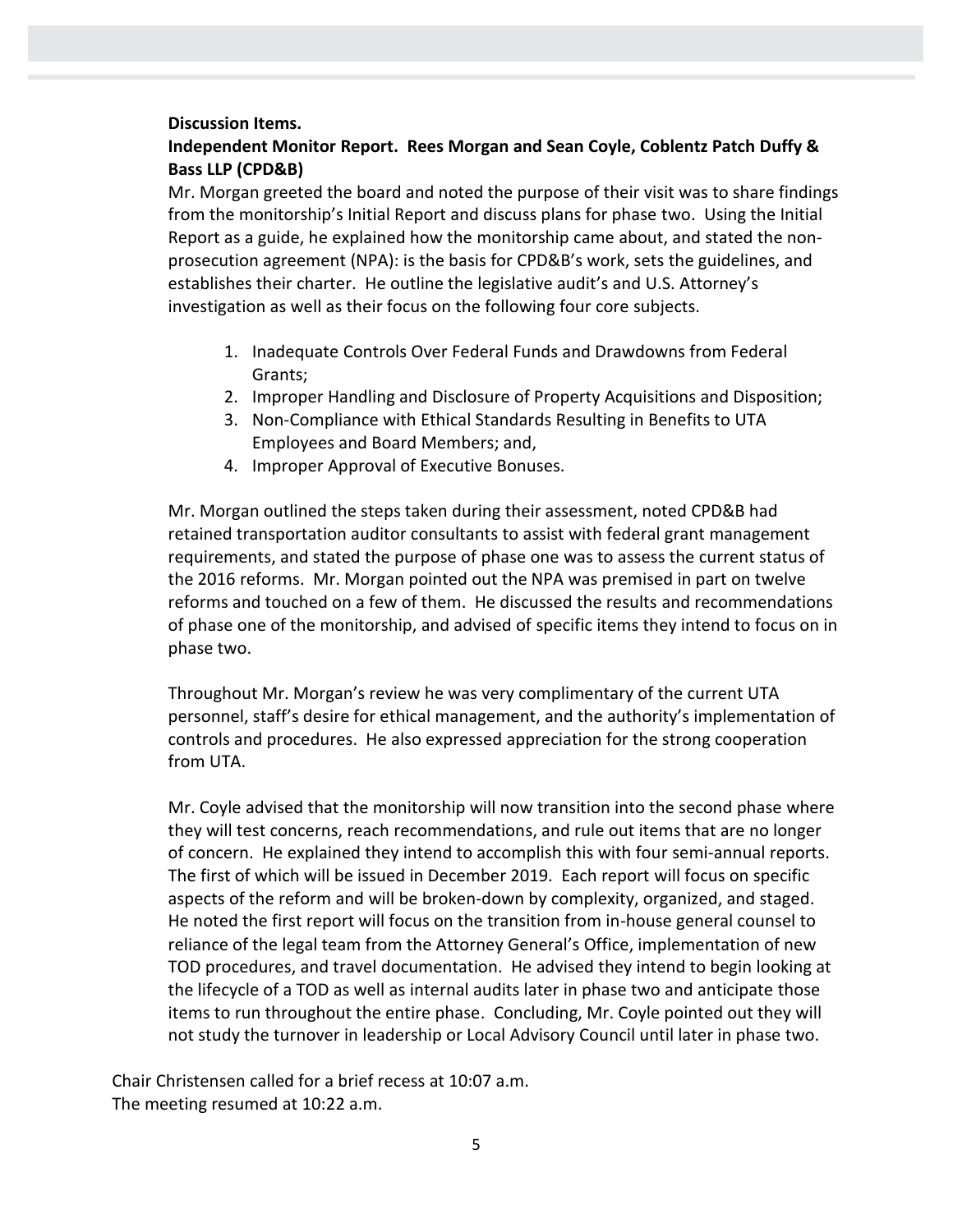#### **Discussion Items.**

## **Independent Monitor Report. Rees Morgan and Sean Coyle, Coblentz Patch Duffy & Bass LLP (CPD&B)**

Mr. Morgan greeted the board and noted the purpose of their visit was to share findings from the monitorship's Initial Report and discuss plans for phase two. Using the Initial Report as a guide, he explained how the monitorship came about, and stated the nonprosecution agreement (NPA): is the basis for CPD&B's work, sets the guidelines, and establishes their charter. He outline the legislative audit's and U.S. Attorney's investigation as well as their focus on the following four core subjects.

- 1. Inadequate Controls Over Federal Funds and Drawdowns from Federal Grants;
- 2. Improper Handling and Disclosure of Property Acquisitions and Disposition;
- 3. Non-Compliance with Ethical Standards Resulting in Benefits to UTA Employees and Board Members; and,
- 4. Improper Approval of Executive Bonuses.

Mr. Morgan outlined the steps taken during their assessment, noted CPD&B had retained transportation auditor consultants to assist with federal grant management requirements, and stated the purpose of phase one was to assess the current status of the 2016 reforms. Mr. Morgan pointed out the NPA was premised in part on twelve reforms and touched on a few of them. He discussed the results and recommendations of phase one of the monitorship, and advised of specific items they intend to focus on in phase two.

Throughout Mr. Morgan's review he was very complimentary of the current UTA personnel, staff's desire for ethical management, and the authority's implementation of controls and procedures. He also expressed appreciation for the strong cooperation from UTA.

Mr. Coyle advised that the monitorship will now transition into the second phase where they will test concerns, reach recommendations, and rule out items that are no longer of concern. He explained they intend to accomplish this with four semi-annual reports. The first of which will be issued in December 2019. Each report will focus on specific aspects of the reform and will be broken-down by complexity, organized, and staged. He noted the first report will focus on the transition from in-house general counsel to reliance of the legal team from the Attorney General's Office, implementation of new TOD procedures, and travel documentation. He advised they intend to begin looking at the lifecycle of a TOD as well as internal audits later in phase two and anticipate those items to run throughout the entire phase. Concluding, Mr. Coyle pointed out they will not study the turnover in leadership or Local Advisory Council until later in phase two.

Chair Christensen called for a brief recess at 10:07 a.m. The meeting resumed at 10:22 a.m.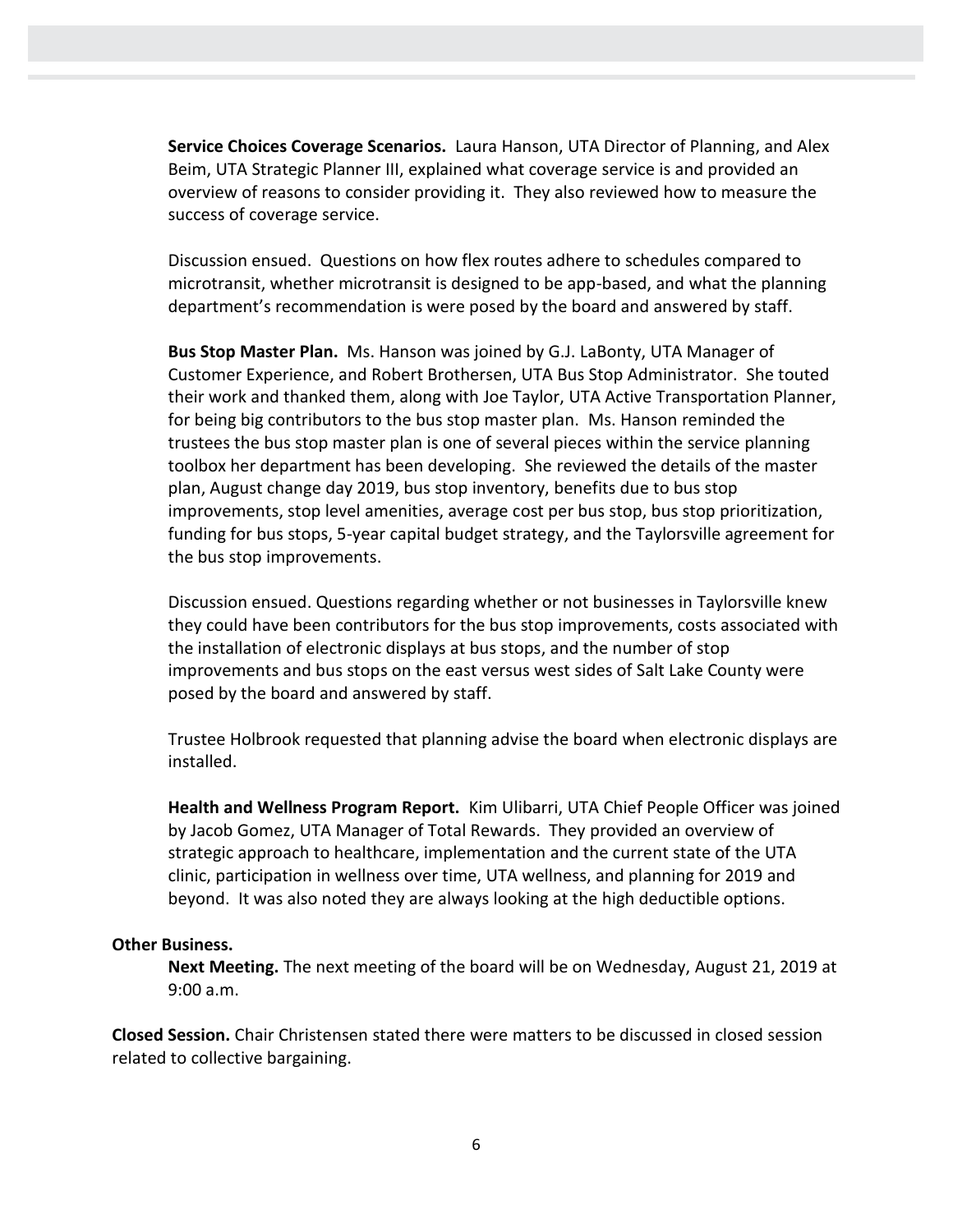**Service Choices Coverage Scenarios.** Laura Hanson, UTA Director of Planning, and Alex Beim, UTA Strategic Planner III, explained what coverage service is and provided an overview of reasons to consider providing it. They also reviewed how to measure the success of coverage service.

Discussion ensued. Questions on how flex routes adhere to schedules compared to microtransit, whether microtransit is designed to be app-based, and what the planning department's recommendation is were posed by the board and answered by staff.

**Bus Stop Master Plan.** Ms. Hanson was joined by G.J. LaBonty, UTA Manager of Customer Experience, and Robert Brothersen, UTA Bus Stop Administrator. She touted their work and thanked them, along with Joe Taylor, UTA Active Transportation Planner, for being big contributors to the bus stop master plan. Ms. Hanson reminded the trustees the bus stop master plan is one of several pieces within the service planning toolbox her department has been developing. She reviewed the details of the master plan, August change day 2019, bus stop inventory, benefits due to bus stop improvements, stop level amenities, average cost per bus stop, bus stop prioritization, funding for bus stops, 5-year capital budget strategy, and the Taylorsville agreement for the bus stop improvements.

Discussion ensued. Questions regarding whether or not businesses in Taylorsville knew they could have been contributors for the bus stop improvements, costs associated with the installation of electronic displays at bus stops, and the number of stop improvements and bus stops on the east versus west sides of Salt Lake County were posed by the board and answered by staff.

Trustee Holbrook requested that planning advise the board when electronic displays are installed.

**Health and Wellness Program Report.** Kim Ulibarri, UTA Chief People Officer was joined by Jacob Gomez, UTA Manager of Total Rewards. They provided an overview of strategic approach to healthcare, implementation and the current state of the UTA clinic, participation in wellness over time, UTA wellness, and planning for 2019 and beyond. It was also noted they are always looking at the high deductible options.

#### **Other Business.**

**Next Meeting.** The next meeting of the board will be on Wednesday, August 21, 2019 at 9:00 a.m.

**Closed Session.** Chair Christensen stated there were matters to be discussed in closed session related to collective bargaining.